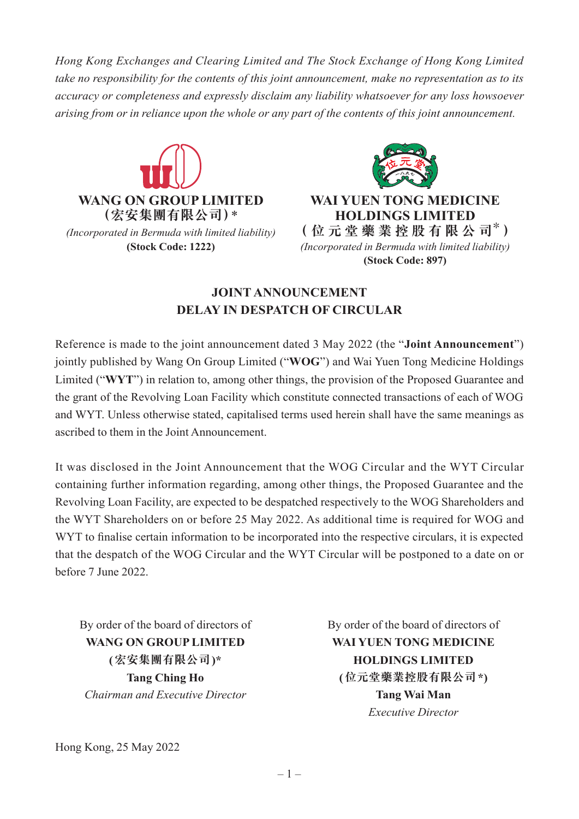*Hong Kong Exchanges and Clearing Limited and The Stock Exchange of Hong Kong Limited take no responsibility for the contents of this joint announcement, make no representation as to its accuracy or completeness and expressly disclaim any liability whatsoever for any loss howsoever arising from or in reliance upon the whole or any part of the contents of this joint announcement.*





**(Stock Code: 1222)** *(Incorporated in Bermuda with limited liability)*  **(Stock Code: 897)**

## **JOINT ANNOUNCEMENT DELAY IN DESPATCH OF CIRCULAR**

Reference is made to the joint announcement dated 3 May 2022 (the "**Joint Announcement**") jointly published by Wang On Group Limited ("**WOG**") and Wai Yuen Tong Medicine Holdings Limited ("**WYT**") in relation to, among other things, the provision of the Proposed Guarantee and the grant of the Revolving Loan Facility which constitute connected transactions of each of WOG and WYT. Unless otherwise stated, capitalised terms used herein shall have the same meanings as ascribed to them in the Joint Announcement.

It was disclosed in the Joint Announcement that the WOG Circular and the WYT Circular containing further information regarding, among other things, the Proposed Guarantee and the Revolving Loan Facility, are expected to be despatched respectively to the WOG Shareholders and the WYT Shareholders on or before 25 May 2022. As additional time is required for WOG and WYT to finalise certain information to be incorporated into the respective circulars, it is expected that the despatch of the WOG Circular and the WYT Circular will be postponed to a date on or before 7 June 2022.

By order of the board of directors of By order of the board of directors of *Chairman and Executive Director* **Tang Wai Man**

**WANG ON GROUP LIMITED WAI YUEN TONG MEDICINE (宏安集團有限公司)\* HOLDINGS LIMITED Tang Ching Ho (位元堂藥業控股有限公司\*)** *Executive Director*

Hong Kong, 25 May 2022